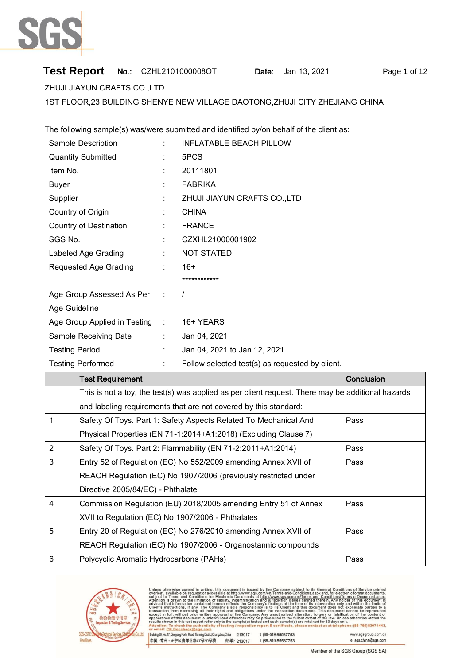

# **Test Report** No.: CZHL2101000008OT Date: Jan 13, 2021 Page 1 of 12

ZHUJI JIAYUN CRAFTS CO.,LTD

1ST FLOOR,23 BUILDING SHENYE NEW VILLAGE DAOTONG,ZHUJI CITY ZHEJIANG CHINA

The following sample(s) was/were submitted and identified by/on behalf of the client as:

| Sample Description             |   | <b>INFLATABLE BEACH PILLOW</b>                  |            |
|--------------------------------|---|-------------------------------------------------|------------|
| <b>Quantity Submitted</b>      |   | 5PCS                                            |            |
| Item No.                       |   | 20111801                                        |            |
| Buyer                          |   | <b>FABRIKA</b>                                  |            |
| Supplier                       |   | ZHUJI JIAYUN CRAFTS CO., LTD                    |            |
| Country of Origin              | ÷ | <b>CHINA</b>                                    |            |
| <b>Country of Destination</b>  |   | <b>FRANCE</b>                                   |            |
| SGS No.                        |   | CZXHL21000001902                                |            |
| Labeled Age Grading            |   | <b>NOT STATED</b>                               |            |
| Requested Age Grading          | ÷ | $16+$                                           |            |
|                                |   | ************                                    |            |
| Age Group Assessed As Per :    |   | $\prime$                                        |            |
| Age Guideline                  |   |                                                 |            |
| Age Group Applied in Testing : |   | 16+ YEARS                                       |            |
| Sample Receiving Date          |   | Jan 04, 2021                                    |            |
| <b>Testing Period</b>          |   | Jan 04, 2021 to Jan 12, 2021                    |            |
| <b>Testing Performed</b>       |   | Follow selected test(s) as requested by client. |            |
| <b>Test Requirement</b>        |   |                                                 | Conclusion |

|   | <u>I est izedalieniem</u>                                                                         | <u>UUHUUSIUH</u> |
|---|---------------------------------------------------------------------------------------------------|------------------|
|   | This is not a toy, the test(s) was applied as per client request. There may be additional hazards |                  |
|   | and labeling requirements that are not covered by this standard:                                  |                  |
| 1 | Safety Of Toys. Part 1: Safety Aspects Related To Mechanical And                                  | Pass             |
|   | Physical Properties (EN 71-1:2014+A1:2018) (Excluding Clause 7)                                   |                  |
| 2 | Safety Of Toys. Part 2: Flammability (EN 71-2:2011+A1:2014)                                       | Pass             |
| 3 | Entry 52 of Regulation (EC) No 552/2009 amending Annex XVII of                                    | Pass             |
|   | REACH Regulation (EC) No 1907/2006 (previously restricted under                                   |                  |
|   | Directive 2005/84/EC) - Phthalate                                                                 |                  |
| 4 | Commission Regulation (EU) 2018/2005 amending Entry 51 of Annex                                   | Pass             |
|   | XVII to Regulation (EC) No 1907/2006 - Phthalates                                                 |                  |
| 5 | Entry 20 of Regulation (EC) No 276/2010 amending Annex XVII of                                    | Pass             |
|   | REACH Regulation (EC) No 1907/2006 - Organostannic compounds                                      |                  |
| 6 | Polycyclic Aromatic Hydrocarbons (PAHs)                                                           | Pass             |



ued by the Company subject to its General Conditions of Service printed<br>sigs.com/en/Terms-and-Conditions.aspx and, for electronic format documents,<br>a at http://www.sgs.com/en/Terms-and-Conditions/Terms-e-Document.aspx.<br>tio ts the C this test report ref

| uilding 30, No. 47, Qingyang North Road, Tianning District,Changzhou,China | 213017     | t (86-519) 85587753 |
|----------------------------------------------------------------------------|------------|---------------------|
| Þ国 •常州 • 天宁区青洋北路47号30号楼 │                                                  | 邮编: 213017 | t (86-519) 85587753 |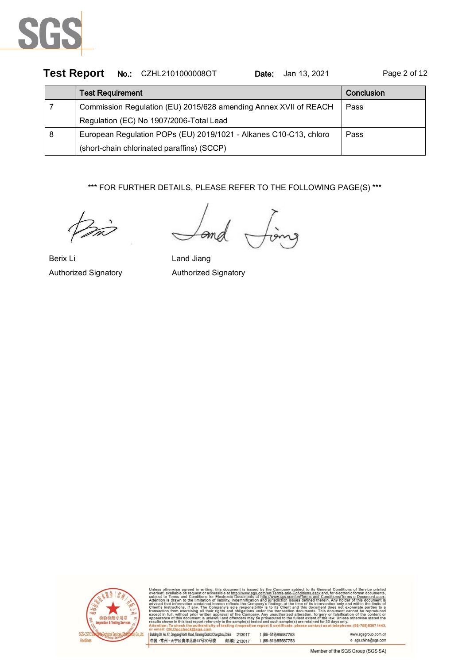

|   | Test Report No.: CZHL2101000008OT<br>Jan 13, 2021<br>Date:        | Page 2 of 12 |
|---|-------------------------------------------------------------------|--------------|
|   | <b>Test Requirement</b>                                           | Conclusion   |
|   | Commission Regulation (EU) 2015/628 amending Annex XVII of REACH  | Pass         |
|   | Regulation (EC) No 1907/2006-Total Lead                           |              |
| 8 | European Regulation POPs (EU) 2019/1021 - Alkanes C10-C13, chloro | Pass         |
|   | (short-chain chlorinated paraffins) (SCCP)                        |              |

\*\*\* FOR FURTHER DETAILS, PLEASE REFER TO THE FOLLOWING PAGE(S) \*\*\*

Berix Li **Land Jiang** Authorized Signatory Authorized Signatory

Эn



Terms-and-Conditions/Terms-e-Docume aspx.<br>nent is dings at the time of its intervention<br>its Client and this document does<br>transaction documents. This document only and<br>not exor r 30 days only.  $\frac{1}{6}$ : (86-755) 8307 1443,

| Building 30, No. 47, Qingyang North Road, Tianning District, Changzhou, China 213017 |            | t (86-519) 85587753 | www.sgsgroup.com.cn |
|--------------------------------------------------------------------------------------|------------|---------------------|---------------------|
| 中国・常州・天宁区青洋北路47号30号楼                                                                 | 邮编: 213017 | t (86-519) 85587753 | e sgs.china@sgs.com |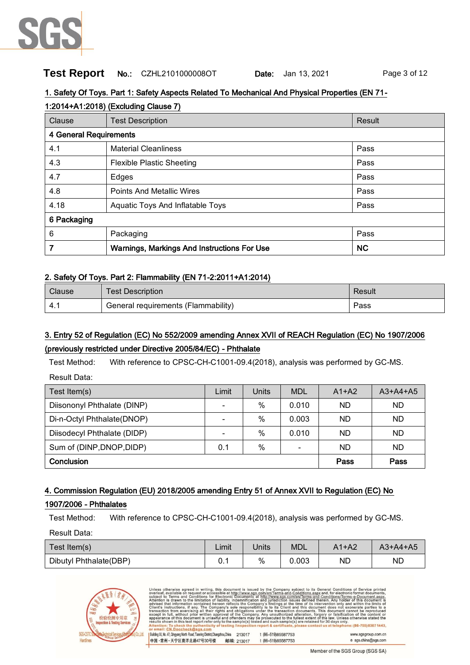

## **Test Report** No.: CZHL2101000008OT Date: Jan 13, 2021 Page 3 of 12

#### 1. Safety Of Toys. Part 1: Safety Aspects Related To Mechanical And Physical Properties (EN 71-

| 1:2014+A1:2018) (Excluding Clause 7) |                                             |           |  |  |  |  |
|--------------------------------------|---------------------------------------------|-----------|--|--|--|--|
| Clause                               | <b>Test Description</b>                     | Result    |  |  |  |  |
| 4 General Requirements               |                                             |           |  |  |  |  |
| 4.1                                  | <b>Material Cleanliness</b>                 | Pass      |  |  |  |  |
| 4.3                                  | <b>Flexible Plastic Sheeting</b>            | Pass      |  |  |  |  |
| 4.7                                  | Edges                                       | Pass      |  |  |  |  |
| 4.8                                  | <b>Points And Metallic Wires</b>            | Pass      |  |  |  |  |
| 4.18                                 | Aquatic Toys And Inflatable Toys            | Pass      |  |  |  |  |
| 6 Packaging                          |                                             |           |  |  |  |  |
| 6                                    | Packaging                                   | Pass      |  |  |  |  |
|                                      | Warnings, Markings And Instructions For Use | <b>NC</b> |  |  |  |  |

#### 2. Safety Of Toys. Part 2: Flammability (EN 71-2:2011+A1:2014)

| Clause | <b>Test Description</b>             | Result |
|--------|-------------------------------------|--------|
|        | General requirements (Flammability) | Pass   |

# 3. Entry 52 of Regulation (EC) No 552/2009 amending Annex XVII of REACH Regulation (EC) No 1907/2006 (previously restricted under Directive 2005/84/EC) - Phthalate

Test Method: With reference to CPSC-CH-C1001-09.4(2018), analysis was performed by GC-MS. Result Data:

| Test Item(s)                | Limit | Units | <b>MDL</b> | $A1+A2$   | $A3+A4+A5$ |
|-----------------------------|-------|-------|------------|-----------|------------|
| Diisononyl Phthalate (DINP) | -     | $\%$  | 0.010      | ND        | <b>ND</b>  |
| Di-n-Octyl Phthalate(DNOP)  | -     | $\%$  | 0.003      | ND        | ND         |
| Diisodecyl Phthalate (DIDP) | -     | $\%$  | 0.010      | <b>ND</b> | ND.        |
| Sum of (DINP, DNOP, DIDP)   | 0.1   | %     |            | ND        | ND.        |
| Conclusion                  | Pass  | Pass  |            |           |            |

### 4. Commission Regulation (EU) 2018/2005 amending Entry 51 of Annex XVII to Regulation (EC) No

#### 1907/2006 - Phthalates

Test Method: With reference to CPSC-CH-C1001-09.4(2018), analysis was performed by GC-MS.

Result Data:

| Test Item(s)           | Limit | Units | <b>MDL</b> | $A1+A2$ | $A3+A4+A5$ |
|------------------------|-------|-------|------------|---------|------------|
| Dibutyl Phthalate(DBP) | v. i  | %     | 0.003      | ΝD      | ND         |

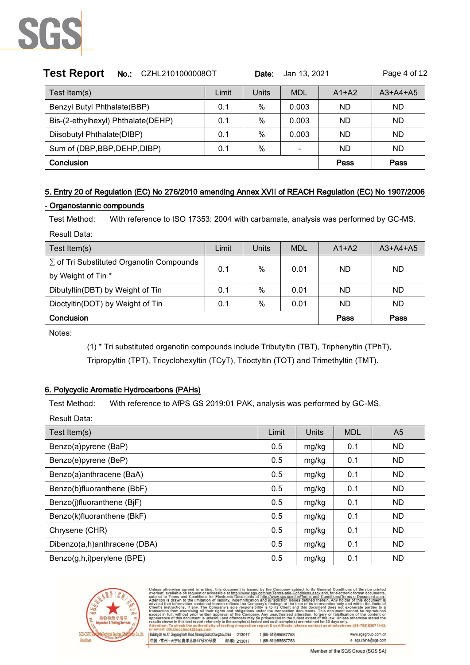

| <b>Test Report</b><br>No.: CZHL2101000008OT |       | Date: | Jan 13, 2021 |           | Page 4 of 12 |  |
|---------------------------------------------|-------|-------|--------------|-----------|--------------|--|
| Test Item(s)                                | Limit | Units | <b>MDL</b>   | $A1+A2$   | $A3+A4+A5$   |  |
| Benzyl Butyl Phthalate(BBP)                 | 0.1   | $\%$  | 0.003        | ND        | ND           |  |
| Bis-(2-ethylhexyl) Phthalate(DEHP)          | 0.1   | $\%$  | 0.003        | <b>ND</b> | ND           |  |
| Diisobutyl Phthalate(DIBP)                  | 0.1   | $\%$  | 0.003        | ND        | <b>ND</b>    |  |
| Sum of (DBP, BBP, DEHP, DIBP)               | 0.1   | $\%$  |              | ND        | ND           |  |
| Conclusion                                  | Pass  | Pass  |              |           |              |  |

# 5. Entry 20 of Regulation (EC) No 276/2010 amending Annex XVII of REACH Regulation (EC) No 1907/2006

#### - Organostannic compounds

Test Method: With reference to ISO 17353: 2004 with carbamate, analysis was performed by GC-MS.

Result Data:

| Test Item(s)                                    | Limit | Units | <b>MDL</b> | $A1+A2$ | $A3+A4+A5$ |
|-------------------------------------------------|-------|-------|------------|---------|------------|
| $\Sigma$ of Tri Substituted Organotin Compounds | 0.1   | $\%$  | 0.01       | ND      | ND.        |
| by Weight of Tin *                              |       |       |            |         |            |
| Dibutyltin(DBT) by Weight of Tin                | 0.1   | $\%$  | 0.01       | ND      | ND.        |
| Dioctyltin(DOT) by Weight of Tin                | 0.1   | $\%$  | 0.01       | ND      | ND.        |
| Conclusion                                      |       |       |            | Pass    | Pass       |

Notes:

(1) \* Tri substituted organotin compounds include Tributyltin (TBT), Triphenyltin (TPhT), Tripropyltin (TPT), Tricyclohexyltin (TCyT), Trioctyltin (TOT) and Trimethyltin (TMT).

### 6. Polycyclic Aromatic Hydrocarbons (PAHs)

Test Method: With reference to AfPS GS 2019:01 PAK, analysis was performed by GC-MS.

Result Data:

| Test Item(s)                 | Limit | Units | <b>MDL</b> | A <sub>5</sub> |
|------------------------------|-------|-------|------------|----------------|
| Benzo(a)pyrene (BaP)         | 0.5   | mg/kg | 0.1        | ND.            |
| Benzo(e)pyrene (BeP)         | 0.5   | mg/kg | 0.1        | ND.            |
| Benzo(a)anthracene (BaA)     | 0.5   | mg/kg | 0.1        | ND.            |
| Benzo(b)fluoranthene (BbF)   | 0.5   | mg/kg | 0.1        | ND.            |
| Benzo(j)fluoranthene (BjF)   | 0.5   | mg/kg | 0.1        | ND.            |
| Benzo(k)fluoranthene (BkF)   | 0.5   | mg/kg | 0.1        | ND.            |
| Chrysene (CHR)               | 0.5   | mg/kg | 0.1        | ND.            |
| Dibenzo(a,h)anthracene (DBA) | 0.5   | mg/kg | 0.1        | <b>ND</b>      |
| Benzo(g,h,i)perylene (BPE)   | 0.5   | mg/kg | 0.1        | <b>ND</b>      |



Terms-and-Conditions/Terms-e-Docum<br>defined therein. Any holder of this doc of its interve<br>his document<br>uments. This ndings at the time<br>bits Client and ntion<br>does only and<br>not exor 30 days only.

| Building 30, No. 47, Qingyang North Road, Tianning District, Changzhou, China | 213017     | t (86-519) 85587753 | www.sgsgroup.com.cn |
|-------------------------------------------------------------------------------|------------|---------------------|---------------------|
| 中国 ・常州 ・天宁区青洋北路47号30号楼                                                        | 邮编: 213017 | t (86-519) 85587753 | e sgs.china@sgs.com |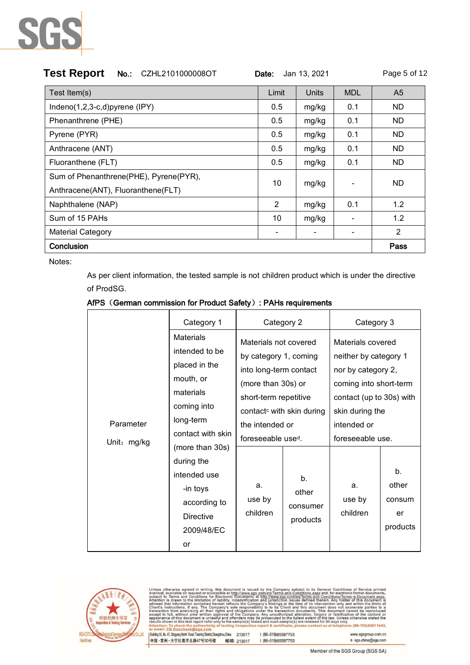

| <b>Test Report</b><br>CZHL2101000008OT<br>Jan 13, 2021<br>$No.$ :<br>Date: |                |       |                          |                |  |  |
|----------------------------------------------------------------------------|----------------|-------|--------------------------|----------------|--|--|
| Test Item(s)                                                               | Limit          | Units | <b>MDL</b>               | A <sub>5</sub> |  |  |
| Indeno(1,2,3-c,d)pyrene (IPY)                                              | 0.5            | mg/kg | 0.1                      | ND.            |  |  |
| Phenanthrene (PHE)                                                         | 0.5            | mg/kg | 0.1                      | ND.            |  |  |
| Pyrene (PYR)                                                               | 0.5            | mg/kg | 0.1                      | ND.            |  |  |
| Anthracene (ANT)                                                           | 0.5            | mg/kg | 0.1                      | ND.            |  |  |
| Fluoranthene (FLT)                                                         | 0.5            | mg/kg | 0.1                      | ND.            |  |  |
| Sum of Phenanthrene(PHE), Pyrene(PYR),                                     | 10             | mg/kg |                          | ND.            |  |  |
| Anthracene(ANT), Fluoranthene(FLT)                                         |                |       |                          |                |  |  |
| Naphthalene (NAP)                                                          | $\overline{2}$ | mg/kg | 0.1                      | 1.2            |  |  |
| Sum of 15 PAHs                                                             | 10             | mg/kg | $\overline{\phantom{a}}$ | 1.2            |  |  |
| <b>Material Category</b>                                                   | -              |       | $\overline{\phantom{a}}$ | 2              |  |  |
| Conclusion                                                                 |                |       |                          | Pass           |  |  |

Notes:

As per client information, the tested sample is not children product which is under the directive of ProdSG.

|  |  | AfPS (German commission for Product Safety): PAHs requirements |  |
|--|--|----------------------------------------------------------------|--|
|  |  |                                                                |  |

|             | Category 1                                                                                                                             | Category 2                                                                                                                                                                          |                                     | Category 3                                                                                                                                               |                                                     |
|-------------|----------------------------------------------------------------------------------------------------------------------------------------|-------------------------------------------------------------------------------------------------------------------------------------------------------------------------------------|-------------------------------------|----------------------------------------------------------------------------------------------------------------------------------------------------------|-----------------------------------------------------|
| Parameter   | <b>Materials</b><br>intended to be<br>placed in the<br>mouth, or<br>materials<br>coming into<br>long-term                              | Materials not covered<br>by category 1, coming<br>into long-term contact<br>(more than 30s) or<br>short-term repetitive<br>contact <sup>c</sup> with skin during<br>the intended or |                                     | Materials covered<br>neither by category 1<br>nor by category 2,<br>coming into short-term<br>contact (up to 30s) with<br>skin during the<br>intended or |                                                     |
| Unit: mg/kg | contact with skin<br>(more than 30s)<br>during the<br>intended use<br>-in toys<br>according to<br><b>Directive</b><br>2009/48/EC<br>or | foreseeable use <sup>d</sup> .<br>a.<br>use by<br>children                                                                                                                          | b.<br>other<br>consumer<br>products | foreseeable use.<br>a.<br>use by<br>children                                                                                                             | b <sub>1</sub><br>other<br>consum<br>er<br>products |



| Unless otherwise agreed in writing, this document is issued by the Company subject to its General Conditions of Service printed            |
|--------------------------------------------------------------------------------------------------------------------------------------------|
| overleaf, available on request or accessible at http://www.sqs.com/en/Terms-and-Conditions.aspx and, for electronic format documents,      |
| subject to Terms and Conditions for Electronic Documents at http://www.sgs.com/en/Terms-and-Conditions/Terms-e-Document.aspx.              |
| Attention is drawn to the limitation of liability, indemnification and jurisdiction issues defined therein. Any holder of this document is |
| advised that information contained hereon reflects the Company's findings at the time of its intervention only and within the limits of    |
| Client's instructions, if any. The Company's sole responsibility is to its Client and this document does not exonerate parties to a        |
| transaction from exercising all their rights and obligations under the transaction documents. This document cannot be reproduced           |
| except in full, without prior written approval of the Company. Any unauthorized alteration, forgery or falsification of the content or     |
| appearance of this document is unlawful and offenders may be prosecuted to the fullest extent of the law. Unless otherwise stated the      |
| results shown in this test report refer only to the sample(s) tested and such sample(s) are retained for 30 days only.                     |
| Attention: To check the authenticity of testing /inspection report & certificate, please contact us at telephone: (86-755) 8307 1443.      |
| and a control of the state of the state of the state of the state of the state of the state of the state of the                            |

or email: <u>CN.Doccheck@sgs.com</u><br>| Building30,No.47,QingangNofh Read,TamingDistric(Changzhou,China 213017<br>|中国 •常州 • 天宁区青洋北路47号30号楼 - 邮编: 213017 t (86-519)85587753 t (86-519) 85587753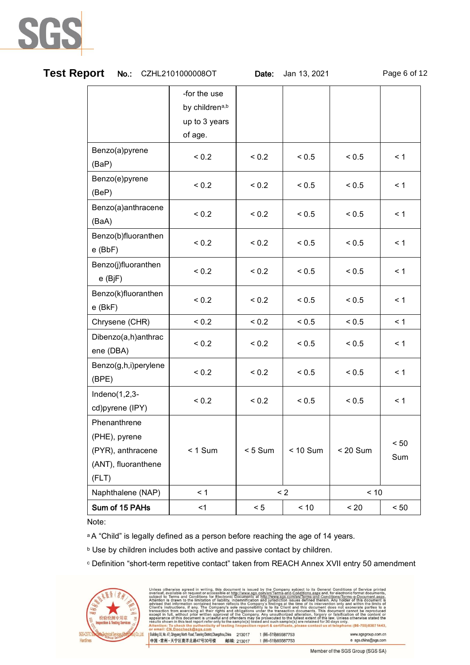

| <b>Test Report</b><br>No.: CZHL2101000008OT       |                                                            | Date:      | Jan 13, 2021 |            | Page 6 of 12 |  |
|---------------------------------------------------|------------------------------------------------------------|------------|--------------|------------|--------------|--|
|                                                   | -for the use<br>by childrena,b<br>up to 3 years<br>of age. |            |              |            |              |  |
| Benzo(a)pyrene<br>(BaP)                           | < 0.2                                                      | < 0.2      | < 0.5        | < 0.5      | $\leq 1$     |  |
| Benzo(e)pyrene<br>(BeP)                           | < 0.2                                                      | < 0.2      | < 0.5        | < 0.5      | $\leq 1$     |  |
| Benzo(a)anthracene<br>(BaA)                       | < 0.2                                                      | < 0.2      | < 0.5        | < 0.5      | $\leq 1$     |  |
| Benzo(b)fluoranthen<br>$e$ (BbF)                  | < 0.2                                                      | < 0.2      | < 0.5        | < 0.5      | $\leq 1$     |  |
| Benzo(j)fluoranthen<br>$e$ (BjF)                  | < 0.2                                                      | ${}_{0.2}$ | < 0.5        | < 0.5      | $\leq 1$     |  |
| Benzo(k)fluoranthen<br>$e$ (BkF)                  | < 0.2                                                      | < 0.2      | < 0.5        | < 0.5      | < 1          |  |
| Chrysene (CHR)                                    | < 0.2                                                      | < 0.2      | < 0.5        | < 0.5      | $\leq 1$     |  |
| Dibenzo(a,h)anthrac<br>ene (DBA)                  | ${}_{0.2}$                                                 | < 0.2      | < 0.5        | < 0.5      | < 1          |  |
| Benzo(g,h,i)perylene<br>(BPE)                     | < 0.2                                                      | < 0.2      | < 0.5        | < 0.5      | < 1          |  |
| $Indeno(1,2,3-$<br>cd)pyrene (IPY)                | < 0.2                                                      | < 0.2      | < 0.5        | < 0.5      | $\leq 1$     |  |
| Phenanthrene<br>(PHE), pyrene                     |                                                            |            |              |            | < 50         |  |
| (PYR), anthracene<br>(ANT), fluoranthene<br>(FLT) | $< 1$ Sum                                                  | $< 5$ Sum  | $< 10$ Sum   | $< 20$ Sum | Sum          |  |
| Naphthalene (NAP)                                 | < 1                                                        | $\leq$ 2   |              | < 10       |              |  |
| Sum of 15 PAHs                                    | $<$ 1                                                      | < 5        | $<10$        | < 20       | < 50         |  |

Note:

a A "Child" is legally defined as a person before reaching the age of 14 years.

**b Use by children includes both active and passive contact by children.** 

<sup>c</sup> Definition "short-term repetitive contact" taken from REACH Annex XVII entry 50 amendment

|                              | 检验检测专用章<br><b>Inspection &amp; Testing Services</b> |         |
|------------------------------|-----------------------------------------------------|---------|
| <b>SGS-CSTC</b><br>Hardlines |                                                     | Co.Ltd. |

| Unless otherwise agreed in writing, this document is issued by the Company subject to its General Conditions of Service printed<br>overleaf, available on request or accessible at http://www.sqs.com/en/Terms-and-Conditions.aspx and, for electronic format documents,<br>subject to Terms and Conditions for Electronic Documents at http://www.sgs.com/en/Terms-and-Conditions/Terms-e-Document.aspx.<br>Attention is drawn to the limitation of liability, indemnification and jurisdiction issues defined therein. Any holder of this document is<br>advised that information contained hereon reflects the Company's findings at the time of its intervention only and within the limits of<br>Client's instructions, if any. The Company's sole responsibility is to its Client and this document does not exonerate parties to a<br>transaction from exercising all their rights and obligations under the transaction documents. This document cannot be reproduced<br>except in full, without prior written approval of the Company. Any unauthorized alteration, forgery or falsification of the content or<br>appearance of this document is unlawful and offenders may be prosecuted to the fullest extent of the law. Unless otherwise stated the<br>results shown in this test report refer only to the sample(s) tested and such sample(s) are retained for 30 days only.<br>Attention: To check the authenticity of testing /inspection report & certificate, please contact us at telephone: (86-755) 8307 1443.<br>or email: CN.Doccheck@sgs.com |        |                     |                     |
|----------------------------------------------------------------------------------------------------------------------------------------------------------------------------------------------------------------------------------------------------------------------------------------------------------------------------------------------------------------------------------------------------------------------------------------------------------------------------------------------------------------------------------------------------------------------------------------------------------------------------------------------------------------------------------------------------------------------------------------------------------------------------------------------------------------------------------------------------------------------------------------------------------------------------------------------------------------------------------------------------------------------------------------------------------------------------------------------------------------------------------------------------------------------------------------------------------------------------------------------------------------------------------------------------------------------------------------------------------------------------------------------------------------------------------------------------------------------------------------------------------------------------------------------------------------------|--------|---------------------|---------------------|
| Building 30, No. 47, Qingyang North Road, Tianning District Changzhou China                                                                                                                                                                                                                                                                                                                                                                                                                                                                                                                                                                                                                                                                                                                                                                                                                                                                                                                                                                                                                                                                                                                                                                                                                                                                                                                                                                                                                                                                                          | 213017 | t (86-519) 85587753 | www.sgsgroup.com.cn |

Member of the SGS Group (SGS SA)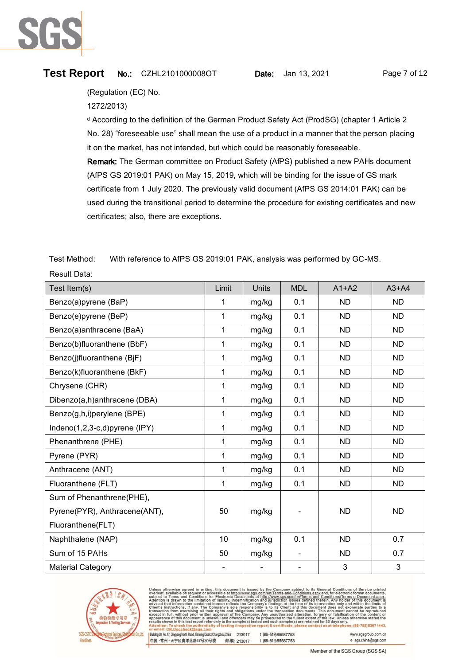

Result Data:

# **Test Report** No.: CZHL2101000008OT Date: Jan 13, 2021 Page 7 of 12

(Regulation (EC) No.

1272/2013)

<sup>d</sup> According to the definition of the German Product Safety Act (ProdSG) (chapter 1 Article 2 No. 28) "foreseeable use" shall mean the use of a product in a manner that the person placing it on the market, has not intended, but which could be reasonably foreseeable. Remark: The German committee on Product Safety (AfPS) published a new PAHs document (AfPS GS 2019:01 PAK) on May 15, 2019, which will be binding for the issue of GS mark certificate from 1 July 2020. The previously valid document (AfPS GS 2014:01 PAK) can be used during the transitional period to determine the procedure for existing certificates and new certificates; also, there are exceptions.

Test Method: With reference to AfPS GS 2019:01 PAK, analysis was performed by GC-MS.

| Test Item(s)                  | Limit        | Units | <b>MDL</b> | $A1+A2$   | $A3+A4$   |
|-------------------------------|--------------|-------|------------|-----------|-----------|
| Benzo(a)pyrene (BaP)          | 1            | mg/kg | 0.1        | <b>ND</b> | <b>ND</b> |
| Benzo(e)pyrene (BeP)          | 1            | mg/kg | 0.1        | <b>ND</b> | <b>ND</b> |
| Benzo(a)anthracene (BaA)      | 1            | mg/kg | 0.1        | <b>ND</b> | ND.       |
| Benzo(b)fluoranthene (BbF)    | $\mathbf{1}$ | mg/kg | 0.1        | <b>ND</b> | <b>ND</b> |
| Benzo(j)fluoranthene (BjF)    | $\mathbf{1}$ | mg/kg | 0.1        | <b>ND</b> | <b>ND</b> |
| Benzo(k)fluoranthene (BkF)    | 1            | mg/kg | 0.1        | <b>ND</b> | <b>ND</b> |
| Chrysene (CHR)                | 1            | mg/kg | 0.1        | <b>ND</b> | <b>ND</b> |
| Dibenzo(a,h)anthracene (DBA)  | $\mathbf{1}$ | mg/kg | 0.1        | ND.       | ND.       |
| Benzo(g,h,i)perylene (BPE)    | 1            | mg/kg | 0.1        | <b>ND</b> | <b>ND</b> |
| Indeno(1,2,3-c,d)pyrene (IPY) | $\mathbf{1}$ | mg/kg | 0.1        | <b>ND</b> | <b>ND</b> |
| Phenanthrene (PHE)            | 1            | mg/kg | 0.1        | <b>ND</b> | <b>ND</b> |
| Pyrene (PYR)                  | 1            | mg/kg | 0.1        | ND.       | <b>ND</b> |
| Anthracene (ANT)              | $\mathbf{1}$ | mg/kg | 0.1        | <b>ND</b> | <b>ND</b> |
| Fluoranthene (FLT)            | $\mathbf{1}$ | mg/kg | 0.1        | <b>ND</b> | <b>ND</b> |
| Sum of Phenanthrene(PHE),     |              |       |            |           |           |
| Pyrene(PYR), Anthracene(ANT), | 50           | mg/kg |            | <b>ND</b> | <b>ND</b> |
| Fluoranthene(FLT)             |              |       |            |           |           |
| Naphthalene (NAP)             | 10           | mg/kg | 0.1        | <b>ND</b> | 0.7       |
| Sum of 15 PAHs                | 50           | mg/kg |            | <b>ND</b> | 0.7       |
| <b>Material Category</b>      |              |       |            | 3         | 3         |

ect to its General Condit<mark>io</mark><br>ditions.aspx and, for electro en/Terms-and-Conditions/Terms-e-Docume<br>en/Terms-and-Conditions/Terms-e-Docum<br>es defined therein. Any holder of this doc ww.sgs.com<br>sdiction iss and jurisdiction issues defined therein. An<br>ry's findings at the time of its intervention<br>y is to its Client and this document does<br>der the transaction documents. This docu only and<br>not exor or 30 days only  $:(86-755)83071443,$ 

| Building 30, No. 47, Qingyang North Road, Tianning District,Changzhou,China | 213017     | t (86-519) 85587753 |  |
|-----------------------------------------------------------------------------|------------|---------------------|--|
| 中国・常州・天宁区青洋北路47号30号楼                                                        | 邮编: 213017 | t (86-519) 85587753 |  |

www.sgsgroup.com.cn e sgs.china@sgs.com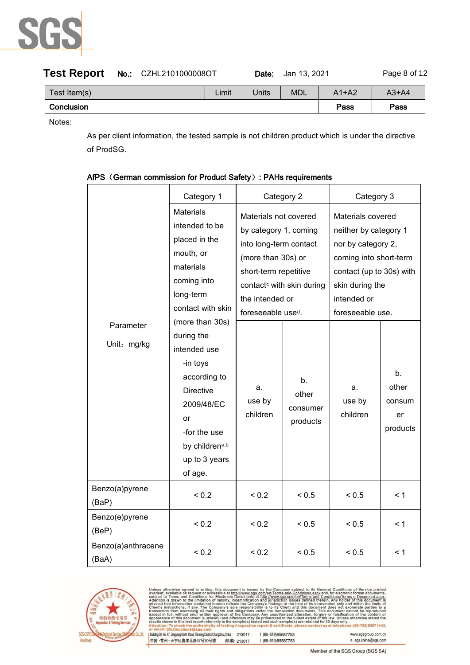

| Test Report No.: CZHL2101000008OT |  |       | Date: | Jan 13. 2021 |         | Page 8 of 12 |
|-----------------------------------|--|-------|-------|--------------|---------|--------------|
| Test Item(s)                      |  | Limit | Units | <b>MDL</b>   | $A1+A2$ | $A3+A4$      |
| Conclusion                        |  |       |       |              | Pass    | Pass         |

Notes:

As per client information, the tested sample is not children product which is under the directive of ProdSG.

|                             | Category 1                                                                                                                                                                      | Category 2                                                                                                                                                                                                            |                                     | Category 3                                                                                                                                                                   |                                         |
|-----------------------------|---------------------------------------------------------------------------------------------------------------------------------------------------------------------------------|-----------------------------------------------------------------------------------------------------------------------------------------------------------------------------------------------------------------------|-------------------------------------|------------------------------------------------------------------------------------------------------------------------------------------------------------------------------|-----------------------------------------|
|                             | <b>Materials</b><br>intended to be<br>placed in the<br>mouth, or<br>materials<br>coming into<br>long-term<br>contact with skin                                                  | Materials not covered<br>by category 1, coming<br>into long-term contact<br>(more than 30s) or<br>short-term repetitive<br>contact <sup>c</sup> with skin during<br>the intended or<br>foreseeable use <sup>d</sup> . |                                     | Materials covered<br>neither by category 1<br>nor by category 2,<br>coming into short-term<br>contact (up to 30s) with<br>skin during the<br>intended or<br>foreseeable use. |                                         |
| Parameter<br>Unit: mg/kg    | (more than 30s)<br>during the<br>intended use<br>-in toys<br>according to<br><b>Directive</b><br>2009/48/EC<br>or<br>-for the use<br>by childrena,b<br>up to 3 years<br>of age. | a.<br>use by<br>children                                                                                                                                                                                              | b.<br>other<br>consumer<br>products | a.<br>use by<br>children                                                                                                                                                     | b.<br>other<br>consum<br>er<br>products |
| Benzo(a)pyrene<br>(BaP)     | < 0.2                                                                                                                                                                           | < 0.2                                                                                                                                                                                                                 | < 0.5                               | < 0.5                                                                                                                                                                        | $\leq 1$                                |
| Benzo(e)pyrene<br>(BeP)     | < 0.2                                                                                                                                                                           | < 0.2                                                                                                                                                                                                                 | < 0.5                               | < 0.5                                                                                                                                                                        | $\leq 1$                                |
| Benzo(a)anthracene<br>(BaA) | < 0.2                                                                                                                                                                           | < 0.2                                                                                                                                                                                                                 | < 0.5                               | < 0.5                                                                                                                                                                        | $\leq 1$                                |

#### AfPS (German commission for Product Safety): PAHs requirements



ued by the Company subject to its General Conditions of Service printed<br>ge.com/en/Terms-and-Conditions.asspx and, for electronic format documents,<br>a at http://www.sgs.com/en/Terms-and-Conditions/Terms-e-Document.aspx.<br>itio is issued by the Comp<br>www.sgs.com/en/Terms s issued by the www.sgs.com/endition and intervals.com/<br>infication and intervals.com/<br>infication and ts the C

| of email: CN.Doccheck@ags.com                                                           |                     |                     |
|-----------------------------------------------------------------------------------------|---------------------|---------------------|
| Building 30, No. 47, Qingyang North Road, Tianning District, Changzhou, China<br>213017 | t (86-519) 85587753 | www.sgsgroup.com.cn |
| 中国・常州・天宁区青洋北路47号30号楼<br>邮编: 213017                                                      | t (86-519) 85587753 | e sgs.china@sgs.com |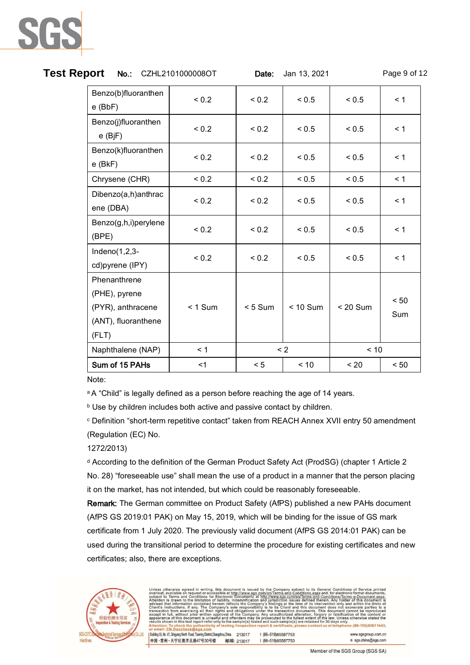| Test Report<br>No.: CZHL2101000008OT                                               |            | Date:     | Jan 13, 2021 |            | Page 9 of 12 |
|------------------------------------------------------------------------------------|------------|-----------|--------------|------------|--------------|
| Benzo(b)fluoranthen<br>$e$ (BbF)                                                   | ${}_{0.2}$ | < 0.2     | < 0.5        | < 0.5      | $\leq 1$     |
| Benzo(j)fluoranthen<br>$e$ (BjF)                                                   | < 0.2      | < 0.2     | < 0.5        | < 0.5      | < 1          |
| Benzo(k)fluoranthen<br>$e$ (BkF)                                                   | < 0.2      | < 0.2     | < 0.5        | < 0.5      | $\leq 1$     |
| Chrysene (CHR)                                                                     | < 0.2      | < 0.2     | < 0.5        | < 0.5      | < 1          |
| Dibenzo(a,h)anthrac<br>ene (DBA)                                                   | < 0.2      | < 0.2     | < 0.5        | < 0.5      | < 1          |
| Benzo(g,h,i)perylene<br>(BPE)                                                      | < 0.2      | < 0.2     | < 0.5        | < 0.5      | < 1          |
| Indeno $(1,2,3-$<br>cd)pyrene (IPY)                                                | < 0.2      | < 0.2     | < 0.5        | < 0.5      | < 1          |
| Phenanthrene<br>(PHE), pyrene<br>(PYR), anthracene<br>(ANT), fluoranthene<br>(FLT) | $< 1$ Sum  | $< 5$ Sum | $< 10$ Sum   | $< 20$ Sum | < 50<br>Sum  |
| Naphthalene (NAP)                                                                  | < 1        |           | $\leq$ 2     | < 10       |              |
| Sum of 15 PAHs                                                                     | $<$ 1      | < 5       | < 10         | < 20       | < 50         |

Note:

<sup>a</sup>A "Child" is legally defined as a person before reaching the age of 14 years.

b Use by children includes both active and passive contact by children.

<sup>c</sup> Definition "short-term repetitive contact" taken from REACH Annex XVII entry 50 amendment (Regulation (EC) No.

1272/2013)

<sup>d</sup> According to the definition of the German Product Safety Act (ProdSG) (chapter 1 Article 2 No. 28) "foreseeable use" shall mean the use of a product in a manner that the person placing it on the market, has not intended, but which could be reasonably foreseeable.

Remark: The German committee on Product Safety (AfPS) published a new PAHs document (AfPS GS 2019:01 PAK) on May 15, 2019, which will be binding for the issue of GS mark certificate from 1 July 2020. The previously valid document (AfPS GS 2014:01 PAK) can be used during the transitional period to determine the procedure for existing certificates and new certificates; also, there are exceptions.



Terms-and-Conditions/Terms-e-Docume<br>defined therein. Any holder of this doc of its interve<br>his document<br>uments. This findings at the time<br>to its Client and re law. Offices<br>r 30 days only  $(86-755)83071443,$ Bui www.sgsgroup.com.cn

| Building 30, No. 47, Qingyang North Road, Tianning District, Changzhou, China | 213017     | t (86-519) 85587753 |
|-------------------------------------------------------------------------------|------------|---------------------|
| 中国・常州・天宁区青洋北路47号30号楼                                                          | 邮编: 213017 | t (86-519) 85587753 |

e sgs.china@sgs.com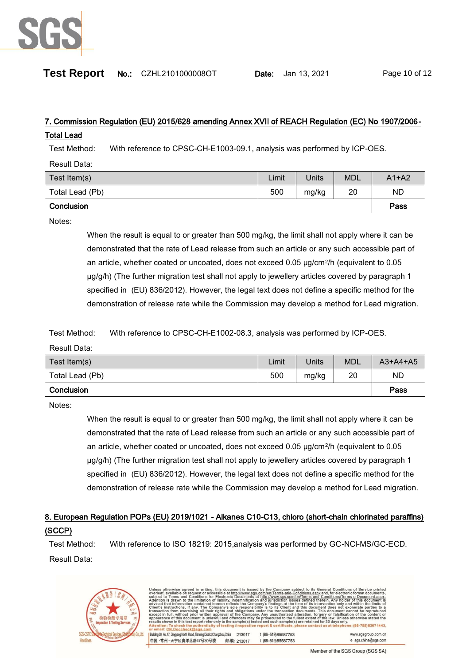

| Test Report | No.: CZHL2101000008OT |
|-------------|-----------------------|
|-------------|-----------------------|

**Date:** Jan 13, 2021 Page 10 of 12

# 7. Commission Regulation (EU) 2015/628 amending Annex XVII of REACH Regulation (EC) No 1907/2006-

#### Total Lead

Test Method: With reference to CPSC-CH-E1003-09.1, analysis was performed by ICP-OES.

Result Data:

| Test Item(s)    | Limit | Units | <b>MDL</b> | $A1+A2$   |
|-----------------|-------|-------|------------|-----------|
| Total Lead (Pb) | 500   | mg/kg | 20         | <b>ND</b> |
| Conclusion      |       |       |            | Pass      |

Notes:

When the result is equal to or greater than 500 mg/kg, the limit shall not apply where it can be demonstrated that the rate of Lead release from such an article or any such accessible part of an article, whether coated or uncoated, does not exceed 0.05 µg/cm2/h (equivalent to 0.05 µg/g/h) (The further migration test shall not apply to jewellery articles covered by paragraph 1 specified in (EU) 836/2012). However, the legal text does not define a specific method for the demonstration of release rate while the Commission may develop a method for Lead migration.

Test Method: With reference to CPSC-CH-E1002-08.3, analysis was performed by ICP-OES.

Result Data:

| Test Item(s)    | Limit | Units | <b>MDL</b> | $A3+A4+A5$ |
|-----------------|-------|-------|------------|------------|
| Total Lead (Pb) | 500   | mg/kg | 20         | ND         |
| Conclusion      |       |       |            | Pass       |

Notes:

When the result is equal to or greater than 500 mg/kg, the limit shall not apply where it can be demonstrated that the rate of Lead release from such an article or any such accessible part of an article, whether coated or uncoated, does not exceed 0.05 µg/cm2/h (equivalent to 0.05 µg/g/h) (The further migration test shall not apply to jewellery articles covered by paragraph 1 specified in (EU) 836/2012). However, the legal text does not define a specific method for the demonstration of release rate while the Commission may develop a method for Lead migration.

# 8. European Regulation POPs (EU) 2019/1021 - Alkanes C10-C13, chloro (short-chain chlorinated paraffins) (SCCP)

Test Method: With reference to ISO 18219: 2015,analysis was performed by GC-NCl-MS/GC-ECD. Result Data:



| subject to Terms and Conditions for Electronic Documents at http://www.sqs.com/en/Terms-and-Conditions/Terms-e-Document.aspx.              |            |                     |                     |
|--------------------------------------------------------------------------------------------------------------------------------------------|------------|---------------------|---------------------|
| Attention is drawn to the limitation of liability, indemnification and jurisdiction issues defined therein. Any holder of this document is |            |                     |                     |
| advised that information contained hereon reflects the Company's findings at the time of its intervention only and within the limits of    |            |                     |                     |
| Client's instructions, if any. The Company's sole responsibility is to its Client and this document does not exonerate parties to a        |            |                     |                     |
| transaction from exercising all their rights and obligations under the transaction documents. This document cannot be reproduced           |            |                     |                     |
| except in full, without prior written approval of the Company. Any unauthorized alteration, forgery or falsification of the content or     |            |                     |                     |
| appearance of this document is unlawful and offenders may be prosecuted to the fullest extent of the law. Unless otherwise stated the      |            |                     |                     |
| results shown in this test report refer only to the sample(s) tested and such sample(s) are retained for 30 days only.                     |            |                     |                     |
| Attention: To check the authenticity of testing /inspection report & certificate, please contact us at telephone: (86-755) 8307 1443.      |            |                     |                     |
| or email: CN.Doccheck@sgs.com                                                                                                              |            |                     |                     |
| Building 30, No. 47, Qingyang North Road, Tianning District, Changzhou, China                                                              | 213017     | t (86-519) 85587753 | www.sgsgroup.com.cn |
|                                                                                                                                            |            |                     |                     |
| 中国·常州·天宁区青洋北路47号30号楼                                                                                                                       | 邮编: 213017 | t (86-519) 85587753 | e sgs.china@sgs.com |
|                                                                                                                                            |            |                     |                     |

Unless otherwise agreed in writing, this document is issued by the Company subject to its General Conditions of Service printed<br>overleaf, available on request or accessible at http://www.sgs.com/en/Terms-and-Conditions.asp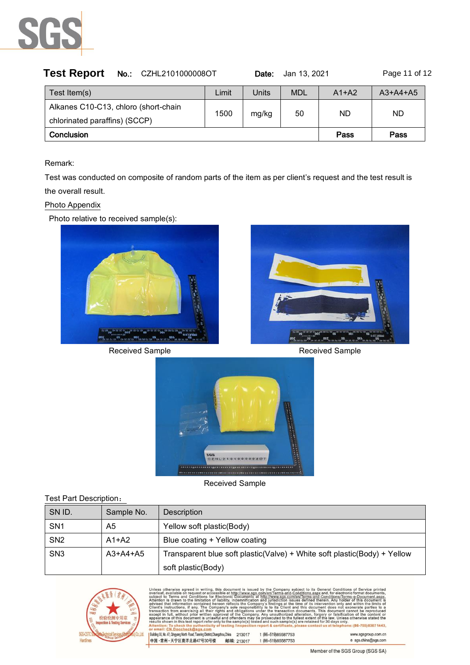

| No.: CZHL2101000008OT | Date: |            |         | Page 11 of 12       |
|-----------------------|-------|------------|---------|---------------------|
| Limit                 | Units | <b>MDL</b> | $A1+A2$ | $A3+A4+A5$          |
|                       |       |            | ND.     |                     |
|                       |       |            |         |                     |
| Conclusion            |       |            | Pass    | Pass                |
|                       | 1500  | mg/kg      | 50      | Jan 13, 2021<br>ND. |

#### Remark:

Test was conducted on composite of random parts of the item as per client's request and the test result is the overall result.

#### Photo Appendix

Photo relative to received sample(s):



Received Sample **Received** Sample





Received Sample

| Test Part Description: |            |                                                                          |  |  |  |
|------------------------|------------|--------------------------------------------------------------------------|--|--|--|
| SN ID.                 | Sample No. | Description                                                              |  |  |  |
| SN <sub>1</sub>        | A5         | Yellow soft plastic(Body)                                                |  |  |  |
| SN <sub>2</sub>        | $A1+A2$    | Blue coating + Yellow coating                                            |  |  |  |
| SN <sub>3</sub>        | $A3+A4+A5$ | Transparent blue soft plastic(Valve) + White soft plastic(Body) + Yellow |  |  |  |
|                        |            | soft plastic(Body)                                                       |  |  |  |

by the Company subject to its General Conditions of Service printed<br>
<u>Difference-and-Conditions aper and conditions</u><br>
<u>Difference-and-Conditions aper and for each transmission of</u><br>
Difference-and <u>Interaction saves defined</u> led by the IIIp://w cts the C at informati , it any<br>ercising<br>ut prior ten approval of ny.<br>be 田舎 this document is unlawful and offenders may be prose<br>in this test report refer only to the sample(s) tested and the<br>shake the outhortigity of testing linearation ranged ults she e: (86-755) 8307 1443, contact us at telep Building 30, No. 47, Qingyang North Road, Tianning District, Changzhou, China 213017 t (86-519) 85587753 www.sgsgroup.com.cn 中国·常州·天宁区青洋北路47号30号楼 邮编: 213017 t (86-519) 85587753  $e$  sgs.china@sgs.com

Member of the SGS Group (SGS SA)